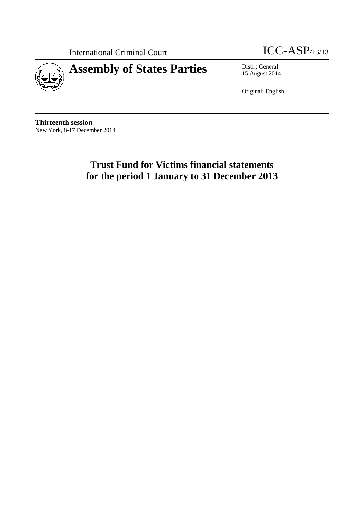

International Criminal Court ICC-ASP/13/13

15 August 2014

Original: English

**Thirteenth session** New York, 8-17 December 2014

# **Trust Fund for Victims financial statements for the period 1 January to 31 December 2013**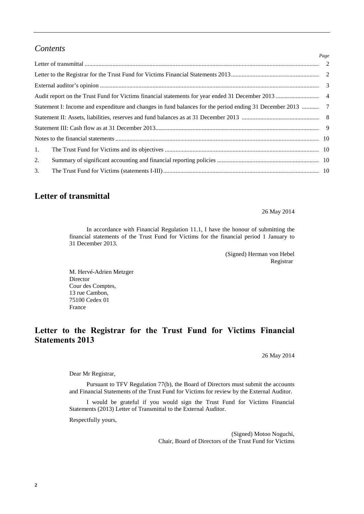#### *Contents*

|    | Page |
|----|------|
|    |      |
|    |      |
|    |      |
|    |      |
|    |      |
|    |      |
|    |      |
|    |      |
| 1. |      |
| 2. |      |
| 3. |      |

#### **Letter of transmittal**

26 May 2014

In accordance with Financial Regulation 11.1, I have the honour of submitting the financial statements of the Trust Fund for Victims for the financial period 1 January to 31 December 2013.

> (Signed) Herman von Hebel Registrar

M. Hervé-Adrien Metzger Director Cour des Comptes, 13 rue Cambon, 75100 Cedex 01 France

### **Letter to the Registrar for the Trust Fund for Victims Financial Statements 2013**

26 May 2014

Dear Mr Registrar,

Pursuant to TFV Regulation 77(b), the Board of Directors must submit the accounts and Financial Statements of the Trust Fund for Victims for review by the External Auditor.

I would be grateful if you would sign the Trust Fund for Victims Financial Statements (2013) Letter of Transmittal to the External Auditor.

Respectfully yours,

(Signed) Motoo Noguchi, Chair, Board of Directors of the Trust Fund for Victims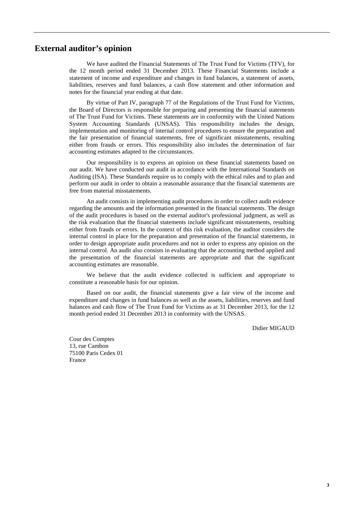#### **External auditor's opinion**

We have audited the Financial Statements of The Trust Fund for Victims (TFV), for the 12 month period ended 31 December 2013. These Financial Statements include a statement of income and expenditure and changes in fund balances, a statement of assets, liabilities, reserves and fund balances, a cash flow statement and other information and notes for the financial year ending at that date.

By virtue of Part IV, paragraph 77 of the Regulations of the Trust Fund for Victims, the Board of Directors is responsible for preparing and presenting the financial statements of The Trust Fund for Victims. These statements are in conformity with the United Nations System Accounting Standards (UNSAS). This responsibility includes the design, implementation and monitoring of internal control procedures to ensure the preparation and the fair presentation of financial statements, free of significant misstatements, resulting either from frauds or errors. This responsibility also includes the determination of fair accounting estimates adapted to the circumstances.

Our responsibility is to express an opinion on these financial statements based on our audit. We have conducted our audit in accordance with the International Standards on Auditing (ISA). These Standards require us to comply with the ethical rules and to plan and perform our audit in order to obtain a reasonable assurance that the financial statements are free from material misstatements.

An audit consists in implementing audit procedures in order to collect audit evidence regarding the amounts and the information presented in the financial statements. The design of the audit procedures is based on the external auditor's professional judgment, as well as the risk evaluation that the financial statements include significant misstatements, resulting either from frauds or errors. In the context of this risk evaluation, the auditor considers the internal control in place for the preparation and presentation of the financial statements, in order to design appropriate audit procedures and not in order to express any opinion on the internal control. An audit also consists in evaluating that the accounting method applied and the presentation of the financial statements are appropriate and that the significant accounting estimates are reasonable.

We believe that the audit evidence collected is sufficient and appropriate to constitute a reasonable basis for our opinion.

Based on our audit, the financial statements give a fair view of the income and expenditure and changes in fund balances as well as the assets, liabilities, reserves and fund balances and cash flow of The Trust Fund for Victims as at 31 December 2013, for the 12 month period ended 31 December 2013 in conformity with the UNSAS.

Didier MIGAUD

Cour des Comptes 13, rue Cambon 75100 Paris Cedex 01 France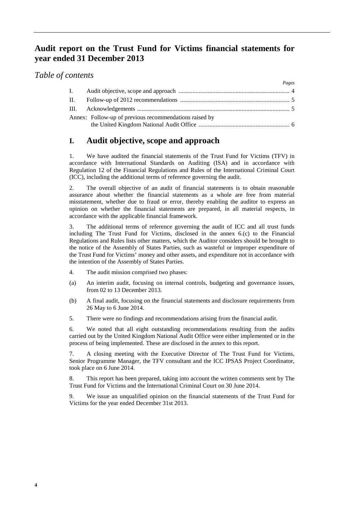#### **Audit report on the Trust Fund for Victims financial statements for year ended 31 December 2013**

#### *Table of contents*

|       |                                                        | Pages |
|-------|--------------------------------------------------------|-------|
| L.    |                                                        |       |
| II. – |                                                        |       |
|       |                                                        |       |
|       | Annex: Follow-up of previous recommendations raised by |       |
|       |                                                        |       |

### **I. Audit objective, scope and approach**

1. We have audited the financial statements of the Trust Fund for Victims (TFV) in accordance with International Standards on Auditing (ISA) and in accordance with Regulation 12 of the Financial Regulations and Rules of the International Criminal Court (ICC), including the additional terms of reference governing the audit.

2. The overall objective of an audit of financial statements is to obtain reasonable assurance about whether the financial statements as a whole are free from material misstatement, whether due to fraud or error, thereby enabling the auditor to express an opinion on whether the financial statements are prepared, in all material respects, in accordance with the applicable financial framework.

3. The additional terms of reference governing the audit of ICC and all trust funds including The Trust Fund for Victims, disclosed in the annex 6.(c) to the Financial Regulations and Rules lists other matters, which the Auditor considers should be brought to the notice of the Assembly of States Parties, such as wasteful or improper expenditure of the Trust Fund for Victims' money and other assets, and expenditure not in accordance with the intention of the Assembly of States Parties.

- 4. The audit mission comprised two phases:
- (a) An interim audit, focusing on internal controls, budgeting and governance issues, from 02 to 13 December 2013.
- (b) A final audit, focusing on the financial statements and disclosure requirements from 26 May to 6 June 2014.
- 5. There were no findings and recommendations arising from the financial audit.

6. We noted that all eight outstanding recommendations resulting from the audits carried out by the United Kingdom National Audit Office were either implemented or in the process of being implemented. These are disclosed in the annex to this report.

7. A closing meeting with the Executive Director of The Trust Fund for Victims, Senior Programme Manager, the TFV consultant and the ICC IPSAS Project Coordinator, took place on 6 June 2014.

8. This report has been prepared, taking into account the written comments sent by The Trust Fund for Victims and the International Criminal Court on 30 June 2014.

9. We issue an unqualified opinion on the financial statements of the Trust Fund for Victims for the year ended December 31st 2013.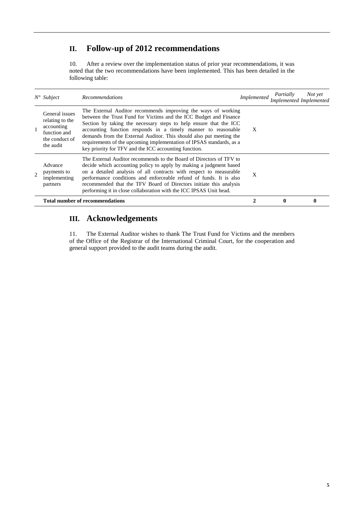# **II. Follow-up of 2012 recommendations**

10. After a review over the implementation status of prior year recommendations, it was noted that the two recommendations have been implemented. This has been detailed in the following table:

|                | $N^{\circ}$ Subject                                                                            | <b>Recommendations</b>                                                                                                                                                                                                                                                                                                                                                                                                                                                           | Implemented | Partially    | Not yet<br>Implemented Implemented |
|----------------|------------------------------------------------------------------------------------------------|----------------------------------------------------------------------------------------------------------------------------------------------------------------------------------------------------------------------------------------------------------------------------------------------------------------------------------------------------------------------------------------------------------------------------------------------------------------------------------|-------------|--------------|------------------------------------|
|                | General issues<br>relating to the<br>accounting<br>function and<br>the conduct of<br>the audit | The External Auditor recommends improving the ways of working<br>between the Trust Fund for Victims and the ICC Budget and Finance<br>Section by taking the necessary steps to help ensure that the ICC<br>accounting function responds in a timely manner to reasonable<br>demands from the External Auditor. This should also put meeting the<br>requirements of the upcoming implementation of IPSAS standards, as a<br>key priority for TFV and the ICC accounting function. | X           |              |                                    |
| $\overline{2}$ | Advance<br>payments to<br>implementing<br>partners                                             | The External Auditor recommends to the Board of Directors of TFV to<br>decide which accounting policy to apply by making a judgment based<br>on a detailed analysis of all contracts with respect to measurable<br>performance conditions and enforceable refund of funds. It is also<br>recommended that the TFV Board of Directors initiate this analysis<br>performing it in close collaboration with the ICC IPSAS Unit head.                                                | X           |              |                                    |
|                |                                                                                                | Total number of recommendations                                                                                                                                                                                                                                                                                                                                                                                                                                                  |             | $\mathbf{0}$ | 0                                  |

# **III. Acknowledgements**

11. The External Auditor wishes to thank The Trust Fund for Victims and the members of the Office of the Registrar of the International Criminal Court, for the cooperation and general support provided to the audit teams during the audit.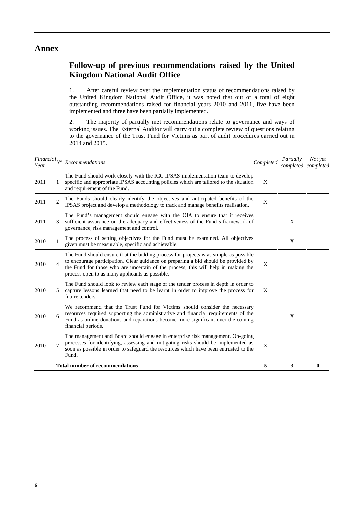#### **Annex**

### **Follow-up of previous recommendations raised by the United Kingdom National Audit Office**

1. After careful review over the implementation status of recommendations raised by the United Kingdom National Audit Office, it was noted that out of a total of eight outstanding recommendations raised for financial years 2010 and 2011, five have been implemented and three have been partially implemented.

2. The majority of partially met recommendations relate to governance and ways of working issues. The External Auditor will carry out a complete review of questions relating to the governance of the Trust Fund for Victims as part of audit procedures carried out in 2014 and 2015.

| Year                   | $\label{eq:final} Financial_{N^{\circ}}\,\,Recommendations$                                                                                                                                                                                                                                                          | Completed | Partially | Not yet<br>completed completed |
|------------------------|----------------------------------------------------------------------------------------------------------------------------------------------------------------------------------------------------------------------------------------------------------------------------------------------------------------------|-----------|-----------|--------------------------------|
| 2011                   | The Fund should work closely with the ICC IPSAS implementation team to develop<br>specific and appropriate IPSAS accounting policies which are tailored to the situation<br>and requirement of the Fund.                                                                                                             | X         |           |                                |
| $\overline{2}$<br>2011 | The Funds should clearly identify the objectives and anticipated benefits of the<br>IPSAS project and develop a methodology to track and manage benefits realisation.                                                                                                                                                | X         |           |                                |
| 2011                   | The Fund's management should engage with the OIA to ensure that it receives<br>sufficient assurance on the adequacy and effectiveness of the Fund's framework of<br>governance, risk management and control.                                                                                                         |           | X         |                                |
| 2010                   | The process of setting objectives for the Fund must be examined. All objectives<br>given must be measurable, specific and achievable.                                                                                                                                                                                |           | X         |                                |
| 2010<br>4              | The Fund should ensure that the bidding process for projects is as simple as possible<br>to encourage participation. Clear guidance on preparing a bid should be provided by<br>the Fund for those who are uncertain of the process; this will help in making the<br>process open to as many applicants as possible. | X         |           |                                |
| 2010                   | The Fund should look to review each stage of the tender process in depth in order to<br>capture lessons learned that need to be learnt in order to improve the process for<br>future tenders.                                                                                                                        | X         |           |                                |
| 2010<br>6              | We recommend that the Trust Fund for Victims should consider the necessary<br>resources required supporting the administrative and financial requirements of the<br>Fund as online donations and reparations become more significant over the coming<br>financial periods.                                           |           | X         |                                |
| 2010                   | The management and Board should engage in enterprise risk management. On-going<br>processes for identifying, assessing and mitigating risks should be implemented as<br>soon as possible in order to safeguard the resources which have been entrusted to the<br>Fund.                                               | X         |           |                                |
|                        | <b>Total number of recommendations</b>                                                                                                                                                                                                                                                                               | 5         | 3         | 0                              |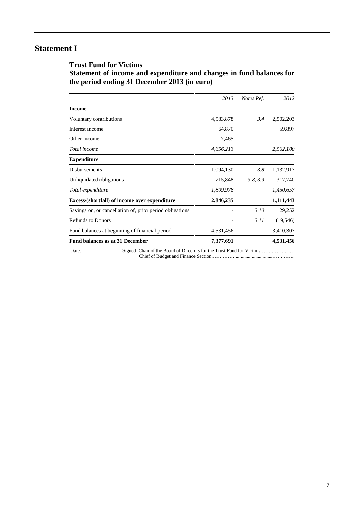## **Statement I**

#### **Trust Fund for Victims Statement of income and expenditure and changes in fund balances for the period ending 31 December 2013 (in euro)**

| 4,583,878<br>64,870<br>7,465<br>4,656,213<br>1,094,130<br>715,848 | 3.4<br>3.8<br>3.8, 3.9 | 2,502,203<br>59,897<br>2,562,100<br>1,132,917                          |
|-------------------------------------------------------------------|------------------------|------------------------------------------------------------------------|
|                                                                   |                        |                                                                        |
|                                                                   |                        |                                                                        |
|                                                                   |                        |                                                                        |
|                                                                   |                        |                                                                        |
|                                                                   |                        |                                                                        |
|                                                                   |                        |                                                                        |
|                                                                   |                        |                                                                        |
|                                                                   |                        | 317,740                                                                |
| 1,809,978                                                         |                        | 1,450,657                                                              |
| 2,846,235                                                         |                        | 1,111,443                                                              |
|                                                                   | 3.10                   | 29,252                                                                 |
|                                                                   | 3.11                   | (19, 546)                                                              |
| 4,531,456                                                         |                        | 3,410,307                                                              |
| 7,377,691                                                         |                        | 4,531,456                                                              |
|                                                                   |                        | Signed: Chair of the Board of Directors for the Trust Fund for Victims |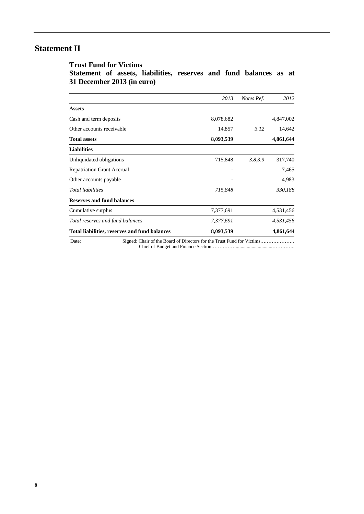## **Statement II**

**Trust Fund for Victims Statement of assets, liabilities, reserves and fund balances as at 31 December 2013 (in euro)**

|                                               | 2013      | Notes Ref. | 2012      |
|-----------------------------------------------|-----------|------------|-----------|
| <b>Assets</b>                                 |           |            |           |
| Cash and term deposits                        | 8,078,682 |            | 4,847,002 |
| Other accounts receivable                     | 14,857    | 3.12       | 14,642    |
| <b>Total assets</b>                           | 8,093,539 |            | 4,861,644 |
| <b>Liabilities</b>                            |           |            |           |
| Unliquidated obligations                      | 715,848   | 3.8,3.9    | 317,740   |
| <b>Repatriation Grant Accrual</b>             |           |            | 7,465     |
| Other accounts payable                        |           |            | 4,983     |
| <b>Total liabilities</b>                      | 715,848   |            | 330,188   |
| <b>Reserves and fund balances</b>             |           |            |           |
| Cumulative surplus                            | 7,377,691 |            | 4,531,456 |
| Total reserves and fund balances              | 7,377,691 |            | 4,531,456 |
| Total liabilities, reserves and fund balances | 8,093,539 |            | 4,861,644 |

**8**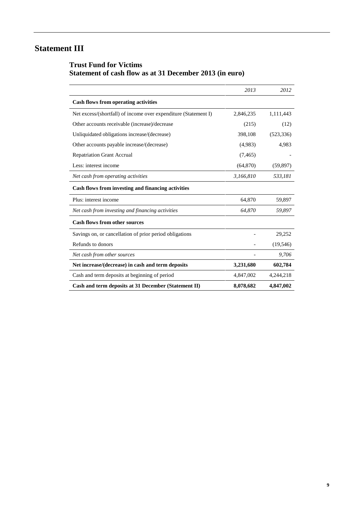# **Statement III**

#### **Trust Fund for Victims Statement of cash flow as at 31 December 2013 (in euro)**

|                                                                 | 2013      | 2012       |
|-----------------------------------------------------------------|-----------|------------|
| <b>Cash flows from operating activities</b>                     |           |            |
| Net excess/(shortfall) of income over expenditure (Statement I) | 2,846,235 | 1,111,443  |
| Other accounts receivable (increase)/decrease                   | (215)     | (12)       |
| Unliquidated obligations increase/(decrease)                    | 398,108   | (523, 336) |
| Other accounts payable increase/(decrease)                      | (4,983)   | 4,983      |
| <b>Repatriation Grant Accrual</b>                               | (7, 465)  |            |
| Less: interest income                                           | (64, 870) | (59, 897)  |
| Net cash from operating activities                              | 3,166,810 | 533,181    |
| Cash flows from investing and financing activities              |           |            |
| Plus: interest income                                           | 64,870    | 59,897     |
| Net cash from investing and financing activities                | 64,870    | 59,897     |
| <b>Cash flows from other sources</b>                            |           |            |
| Savings on, or cancellation of prior period obligations         |           | 29,252     |
| Refunds to donors                                               |           | (19, 546)  |
| Net cash from other sources                                     |           | 9,706      |
| Net increase/(decrease) in cash and term deposits               | 3,231,680 | 602,784    |
| Cash and term deposits at beginning of period                   | 4,847,002 | 4,244,218  |
| Cash and term deposits at 31 December (Statement II)            | 8,078,682 | 4,847,002  |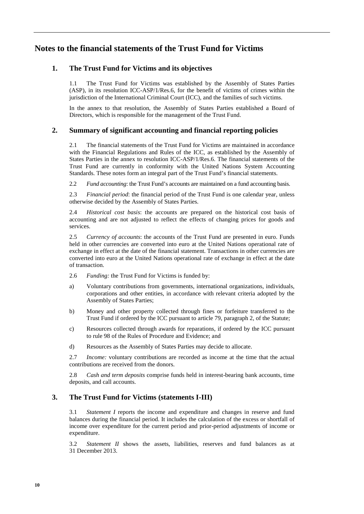### **Notes to the financial statements of the Trust Fund for Victims**

#### **1. The Trust Fund for Victims and its objectives**

1.1 The Trust Fund for Victims was established by the Assembly of States Parties (ASP), in its resolution ICC-ASP/1/Res.6, for the benefit of victims of crimes within the jurisdiction of the International Criminal Court (ICC), and the families of such victims.

In the annex to that resolution, the Assembly of States Parties established a Board of Directors, which is responsible for the management of the Trust Fund.

#### **2. Summary of significant accounting and financial reporting policies**

2.1 The financial statements of the Trust Fund for Victims are maintained in accordance with the Financial Regulations and Rules of the ICC, as established by the Assembly of States Parties in the annex to resolution ICC-ASP/1/Res.6. The financial statements of the Trust Fund are currently in conformity with the United Nations System Accounting Standards. These notes form an integral part of the Trust Fund's financial statements.

2.2 *Fund accounting*: the Trust Fund's accounts are maintained on a fund accounting basis.

2.3 *Financial period*: the financial period of the Trust Fund is one calendar year, unless otherwise decided by the Assembly of States Parties.

2.4 *Historical cost basis*: the accounts are prepared on the historical cost basis of accounting and are not adjusted to reflect the effects of changing prices for goods and services.

2.5 *Currency of accounts*: the accounts of the Trust Fund are presented in euro. Funds held in other currencies are converted into euro at the United Nations operational rate of exchange in effect at the date of the financial statement. Transactions in other currencies are converted into euro at the United Nations operational rate of exchange in effect at the date of transaction.

- 2.6 *Funding:* the Trust Fund for Victims is funded by:
- a) Voluntary contributions from governments, international organizations, individuals, corporations and other entities, in accordance with relevant criteria adopted by the Assembly of States Parties;
- b) Money and other property collected through fines or forfeiture transferred to the Trust Fund if ordered by the ICC pursuant to article 79, paragraph 2, of the Statute;
- c) Resources collected through awards for reparations, if ordered by the ICC pursuant to rule 98 of the Rules of Procedure and Evidence; and
- d) Resources as the Assembly of States Parties may decide to allocate.

2.7 *Income:* voluntary contributions are recorded as income at the time that the actual contributions are received from the donors.

2.8 *Cash and term deposits* comprise funds held in interest-bearing bank accounts, time deposits, and call accounts.

#### **3. The Trust Fund for Victims (statements I-III)**

3.1 *Statement I* reports the income and expenditure and changes in reserve and fund balances during the financial period. It includes the calculation of the excess or shortfall of income over expenditure for the current period and prior-period adjustments of income or expenditure.

3.2 *Statement II* shows the assets, liabilities, reserves and fund balances as at 31 December 2013.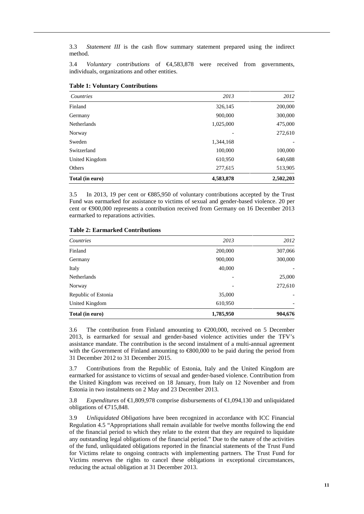3.3 *Statement III* is the cash flow summary statement prepared using the indirect method.

3.4 *Voluntary contributions* of €4,583,878 were received from governments, individuals, organizations and other entities.

| Countries          | 2013      | 2012      |
|--------------------|-----------|-----------|
| Finland            | 326,145   | 200,000   |
| Germany            | 900,000   | 300,000   |
| <b>Netherlands</b> | 1,025,000 | 475,000   |
| Norway             |           | 272,610   |
| Sweden             | 1,344,168 | -         |
| Switzerland        | 100,000   | 100,000   |
| United Kingdom     | 610,950   | 640,688   |
| Others             | 277,615   | 513,905   |
| Total (in euro)    | 4,583,878 | 2,502,203 |

**Table 1: Voluntary Contributions**

3.5 In 2013, 19 per cent or €885,950 of voluntary contributions accepted by the Trust Fund was earmarked for assistance to victims of sexual and gender-based violence. 20 per cent or €900,000 represents a contribution received from Germany on 16 December 2013 earmarked to reparations activities.

| Germany                     | 900,000   | 300,000                  |
|-----------------------------|-----------|--------------------------|
| Italy<br><b>Netherlands</b> | 40,000    | ۰<br>25,000              |
| Norway                      |           | 272,610                  |
| Republic of Estonia         | 35,000    | $\overline{\phantom{a}}$ |
| United Kingdom              | 610,950   | $\overline{\phantom{a}}$ |
| Total (in euro)             | 1,785,950 | 904,676                  |
|                             |           |                          |

3.6 The contribution from Finland amounting to  $\epsilon$ 200,000, received on 5 December 2013, is earmarked for sexual and gender-based violence activities under the TFV's assistance mandate. The contribution is the second instalment of a multi-annual agreement with the Government of Finland amounting to  $\infty$ 00,000 to be paid during the period from 31 December 2012 to 31 December 2015.

3.7 Contributions from the Republic of Estonia, Italy and the United Kingdom are earmarked for assistance to victims of sexual and gender-based violence. Contribution from the United Kingdom was received on 18 January, from Italy on 12 November and from Estonia in two instalments on 2 May and 23 December 2013.

3.8 *Expenditures* of €1,809,978 comprise disbursements of €1,094,130 and unliquidated obligations of €715,848.

3.9 *Unliquidated Obligations* have been recognized in accordance with ICC Financial Regulation 4.5 "Appropriations shall remain available for twelve months following the end of the financial period to which they relate to the extent that they are required to liquidate any outstanding legal obligations of the financial period." Due to the nature of the activities of the fund, unliquidated obligations reported in the financial statements of the Trust Fund for Victims relate to ongoing contracts with implementing partners. The Trust Fund for Victims reserves the rights to cancel these obligations in exceptional circumstances, reducing the actual obligation at 31 December 2013.